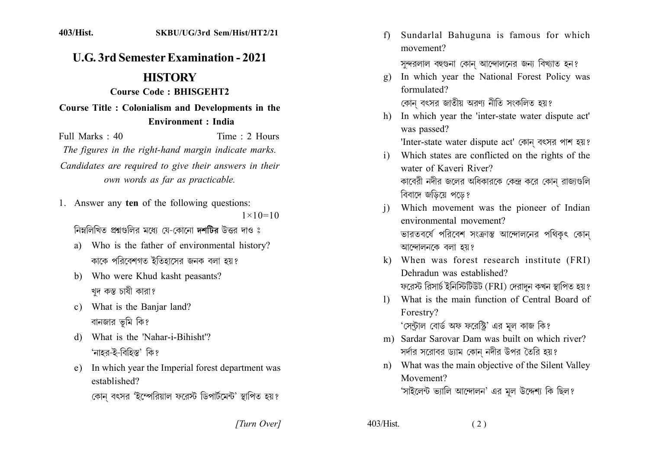## **U.G. 3rd Semester Examination - 2021**

## **HISTORY**

## Course Code: BHISGEHT2

## Course Title: Colonialism and Developments in the **Environment : India**

Time  $\cdot$  2 Hours Full Marks  $\cdot$  40 The figures in the right-hand margin indicate marks. Candidates are required to give their answers in their own words as far as practicable.

1. Answer any ten of the following questions:  $1 \times 10 = 10$ 

নিম্নলিখিত প্ৰশ্নগুলির মধ্যে যে-কোনো **দশটিব** উত্তর দাও ঃ

- a) Who is the father of environmental history? কাকে পরিবেশগত ইতিহাসের জনক বলা হয়?
- b) Who were Khud kasht peasants? খদ কস্ত চাষী কারা?
- c) What is the Banjar land? বানজার ভূমি কি?
- d) What is the 'Nahar-i-Bihisht'? 'নাহর-ই-বিহিস্ত' কি?
- e) In which year the Imperial forest department was established?
	- কোন বৎসর 'ইম্পেরিয়াল ফরেস্ট ডিপার্টমেন্ট' স্থাপিত হয়?

[Turn Over]

Sundarlal Bahuguna is famous for which  $f$ movement?

সন্দরলাল বহুগুনা কোন আন্দোলনের জন্য বিখ্যাত হন?

- In which year the National Forest Policy was  $g)$ formulated? কোন বৎসর জাতীয় অরণ্য নীতি সংকলিত হয়?
- h) In which year the 'inter-state water dispute act' was passed?

'Inter-state water dispute act' কোন বৎসর পাশ হয়?

- Which states are conflicted on the rights of the  $\mathbf{i}$ water of Kaveri River? কাবেরী নদীর জলের অধিকারকে কেন্দ্র করে কোন্ রাজ্যগুলি বিবাদে জডিয়ে পড়ে?
- Which movement was the pioneer of Indian  $\mathbf{i}$ environmental movement? ভারতবর্ষে পরিবেশ সংক্রান্ত আন্দোলনের পথিকৎ কোন আন্দোলনকে বলা হয়?
- k) When was forest research institute (FRI) Dehradun was established? ফরেস্ট রিসার্চ ইনিস্টিটিউট (FRI) দেরাদন কখন স্থাপিত হয়?
- What is the main function of Central Board of  $\mathbf{D}$ Forestry? 'সেন্টাল বোর্ড অফ ফরেস্ট্রি' এর মল কাজ কি?
- m) Sardar Sarovar Dam was built on which river? সর্দার সরোবর ড্যাম কোন নদীর উপর তৈরি হয়?
- n) What was the main objective of the Silent Valley Movement? 'সাইলেন্ট ভ্যালি আন্দোলন' এর মূল উদ্দেশ্য কি ছিল?

 $(2)$ 

403/Hist.